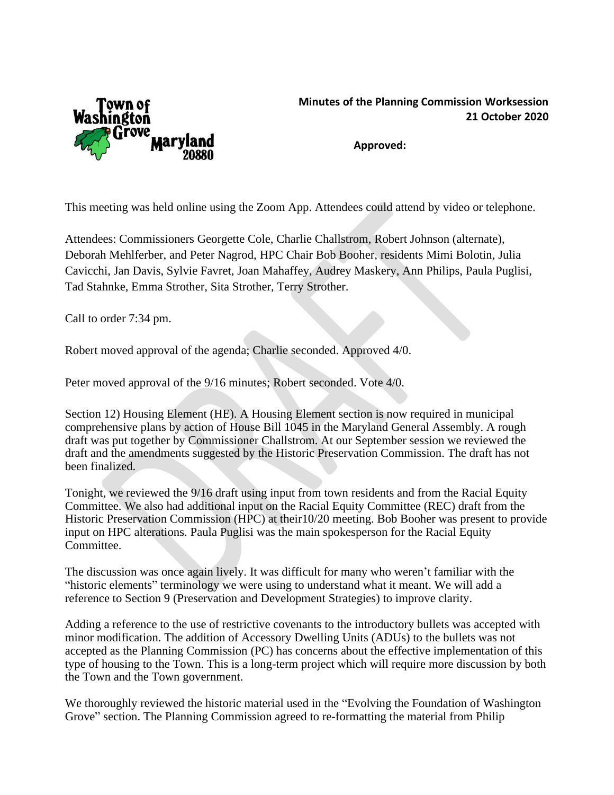

## **Minutes of the Planning Commission Worksession 21 October 2020**

**Approved:**

This meeting was held online using the Zoom App. Attendees could attend by video or telephone.

Attendees: Commissioners Georgette Cole, Charlie Challstrom, Robert Johnson (alternate), Deborah Mehlferber, and Peter Nagrod, HPC Chair Bob Booher, residents Mimi Bolotin, Julia Cavicchi, Jan Davis, Sylvie Favret, Joan Mahaffey, Audrey Maskery, Ann Philips, Paula Puglisi, Tad Stahnke, Emma Strother, Sita Strother, Terry Strother.

Call to order 7:34 pm.

Robert moved approval of the agenda; Charlie seconded. Approved 4/0.

Peter moved approval of the 9/16 minutes; Robert seconded. Vote 4/0.

Section 12) Housing Element (HE). A Housing Element section is now required in municipal comprehensive plans by action of House Bill 1045 in the Maryland General Assembly. A rough draft was put together by Commissioner Challstrom. At our September session we reviewed the draft and the amendments suggested by the Historic Preservation Commission. The draft has not been finalized.

Tonight, we reviewed the 9/16 draft using input from town residents and from the Racial Equity Committee. We also had additional input on the Racial Equity Committee (REC) draft from the Historic Preservation Commission (HPC) at their10/20 meeting. Bob Booher was present to provide input on HPC alterations. Paula Puglisi was the main spokesperson for the Racial Equity Committee.

The discussion was once again lively. It was difficult for many who weren't familiar with the "historic elements" terminology we were using to understand what it meant. We will add a reference to Section 9 (Preservation and Development Strategies) to improve clarity.

Adding a reference to the use of restrictive covenants to the introductory bullets was accepted with minor modification. The addition of Accessory Dwelling Units (ADUs) to the bullets was not accepted as the Planning Commission (PC) has concerns about the effective implementation of this type of housing to the Town. This is a long-term project which will require more discussion by both the Town and the Town government.

We thoroughly reviewed the historic material used in the "Evolving the Foundation of Washington Grove" section. The Planning Commission agreed to re-formatting the material from Philip